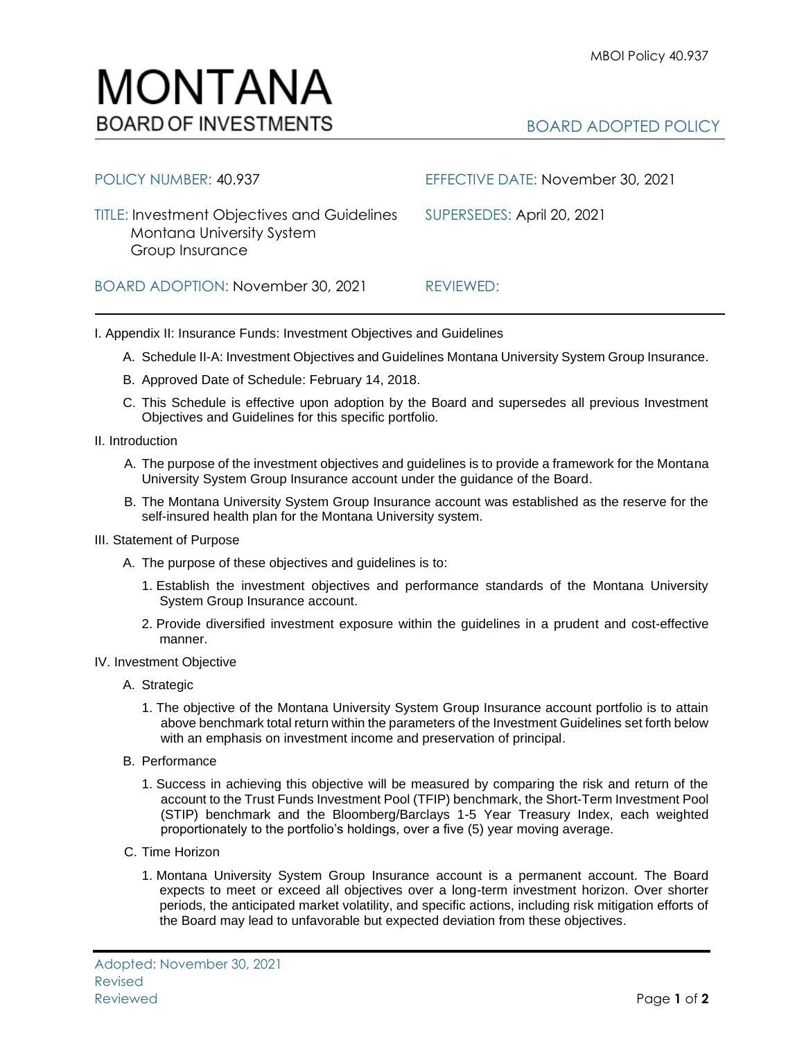## BOARD ADOPTED POLICY

| Montana University System<br>Group Insurance |           |
|----------------------------------------------|-----------|
| BOARD ADOPTION: November 30, 2021            | REVIEWED: |

TITLE: Investment Objectives and Guidelines SUPERSEDES: April 20, 2021

I. Appendix II: Insurance Funds: Investment Objectives and Guidelines

A. Schedule II-A: Investment Objectives and Guidelines Montana University System Group Insurance.

POLICY NUMBER: 40.937 EFFECTIVE DATE: November 30, 2021

- B. Approved Date of Schedule: February 14, 2018.
- C. This Schedule is effective upon adoption by the Board and supersedes all previous Investment Objectives and Guidelines for this specific portfolio*.*
- II. Introduction
	- A. The purpose of the investment objectives and guidelines is to provide a framework for the Montana University System Group Insurance account under the guidance of the Board.
	- B. The Montana University System Group Insurance account was established as the reserve for the self-insured health plan for the Montana University system.
- III. Statement of Purpose
	- A. The purpose of these objectives and guidelines is to:
		- 1. Establish the investment objectives and performance standards of the Montana University System Group Insurance account.
		- 2. Provide diversified investment exposure within the guidelines in a prudent and cost-effective manner.
- IV. Investment Objective
	- A. Strategic
		- 1. The objective of the Montana University System Group Insurance account portfolio is to attain above benchmark total return within the parameters of the Investment Guidelines set forth below with an emphasis on investment income and preservation of principal.
	- B. Performance
		- 1. Success in achieving this objective will be measured by comparing the risk and return of the account to the Trust Funds Investment Pool (TFIP) benchmark, the Short-Term Investment Pool (STIP) benchmark and the Bloomberg/Barclays 1-5 Year Treasury Index, each weighted proportionately to the portfolio's holdings, over a five (5) year moving average.
	- C. Time Horizon
		- 1. Montana University System Group Insurance account is a permanent account. The Board expects to meet or exceed all objectives over a long-term investment horizon. Over shorter periods, the anticipated market volatility, and specific actions, including risk mitigation efforts of the Board may lead to unfavorable but expected deviation from these objectives.

## MONTANA **BOARD OF INVESTMENTS**